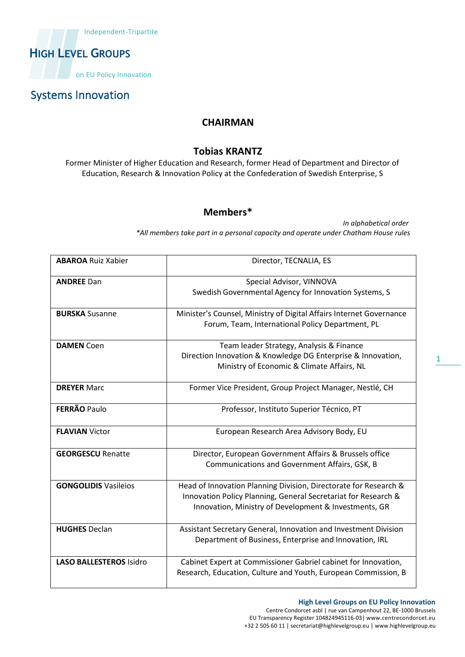

### Systems Innovation

#### **CHAIRMAN**

#### **Tobias KRANTZ**

Former Minister of Higher Education and Research, former Head of Department and Director of Education, Research & Innovation Policy at the Confederation of Swedish Enterprise, S

#### **Members\***

*In alphabetical order \*All members take part in a personal capacity and operate under Chatham House rules*

| <b>ABAROA Ruiz Xabier</b>      | Director, TECNALIA, ES                                                                                                                                                                      |
|--------------------------------|---------------------------------------------------------------------------------------------------------------------------------------------------------------------------------------------|
| <b>ANDREE Dan</b>              | Special Advisor, VINNOVA<br>Swedish Governmental Agency for Innovation Systems, S                                                                                                           |
| <b>BURSKA Susanne</b>          | Minister's Counsel, Ministry of Digital Affairs Internet Governance<br>Forum, Team, International Policy Department, PL                                                                     |
| <b>DAMEN Coen</b>              | Team leader Strategy, Analysis & Finance<br>Direction Innovation & Knowledge DG Enterprise & Innovation,<br>Ministry of Economic & Climate Affairs, NL                                      |
| <b>DREYER Marc</b>             | Former Vice President, Group Project Manager, Nestlé, CH                                                                                                                                    |
| <b>FERRÃO Paulo</b>            | Professor, Instituto Superior Técnico, PT                                                                                                                                                   |
| <b>FLAVIAN Victor</b>          | European Research Area Advisory Body, EU                                                                                                                                                    |
| <b>GEORGESCU Renatte</b>       | Director, European Government Affairs & Brussels office<br>Communications and Government Affairs, GSK, B                                                                                    |
| <b>GONGOLIDIS Vasileios</b>    | Head of Innovation Planning Division, Directorate for Research &<br>Innovation Policy Planning, General Secretariat for Research &<br>Innovation, Ministry of Development & Investments, GR |
| <b>HUGHES Declan</b>           | Assistant Secretary General, Innovation and Investment Division<br>Department of Business, Enterprise and Innovation, IRL                                                                   |
| <b>LASO BALLESTEROS Isidro</b> | Cabinet Expert at Commissioner Gabriel cabinet for Innovation,<br>Research, Education, Culture and Youth, European Commission, B                                                            |

1